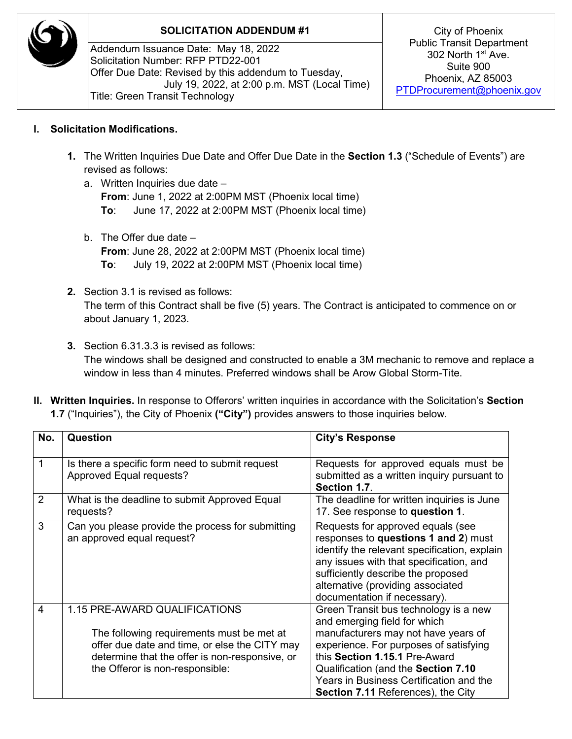

## **SOLICITATION ADDENDUM #1** City of Phoenix

Addendum Issuance Date: May 18, 2022 Solicitation Number: RFP PTD22-001 Offer Due Date: Revised by this addendum to Tuesday, July 19, 2022, at 2:00 p.m. MST (Local Time) Title: Green Transit Technology

Public Transit Department 302 North 1st Ave. Suite 900 Phoenix, AZ 85003 [PTDProcurement@phoenix.gov](mailto:PTDProcurement@phoenix.gov)

## **I. Solicitation Modifications.**

- **1.** The Written Inquiries Due Date and Offer Due Date in the **Section 1.3** ("Schedule of Events") are revised as follows:
	- a. Written Inquiries due date **From**: June 1, 2022 at 2:00PM MST (Phoenix local time) **To**: June 17, 2022 at 2:00PM MST (Phoenix local time)
	- b. The Offer due date **From**: June 28, 2022 at 2:00PM MST (Phoenix local time) **To**: July 19, 2022 at 2:00PM MST (Phoenix local time)
- **2.** Section 3.1 is revised as follows: The term of this Contract shall be five (5) years. The Contract is anticipated to commence on or about January 1, 2023.
- **3.** Section 6.31.3.3 is revised as follows: The windows shall be designed and constructed to enable a 3M mechanic to remove and replace a window in less than 4 minutes. Preferred windows shall be Arow Global Storm-Tite.
- **II. Written Inquiries.** In response to Offerors' written inquiries in accordance with the Solicitation's **Section 1.7** ("Inquiries"), the City of Phoenix **("City")** provides answers to those inquiries below.

| No. | Question                                                                                                                                                                                                         | <b>City's Response</b>                                                                                                                                                                                                                                                                                                 |
|-----|------------------------------------------------------------------------------------------------------------------------------------------------------------------------------------------------------------------|------------------------------------------------------------------------------------------------------------------------------------------------------------------------------------------------------------------------------------------------------------------------------------------------------------------------|
|     | Is there a specific form need to submit request<br>Approved Equal requests?                                                                                                                                      | Requests for approved equals must be<br>submitted as a written inquiry pursuant to<br>Section 1.7.                                                                                                                                                                                                                     |
| 2   | What is the deadline to submit Approved Equal<br>requests?                                                                                                                                                       | The deadline for written inquiries is June<br>17. See response to question 1.                                                                                                                                                                                                                                          |
| 3   | Can you please provide the process for submitting<br>an approved equal request?                                                                                                                                  | Requests for approved equals (see<br>responses to questions 1 and 2) must<br>identify the relevant specification, explain<br>any issues with that specification, and<br>sufficiently describe the proposed<br>alternative (providing associated<br>documentation if necessary).                                        |
| 4   | 1.15 PRE-AWARD QUALIFICATIONS<br>The following requirements must be met at<br>offer due date and time, or else the CITY may<br>determine that the offer is non-responsive, or<br>the Offeror is non-responsible: | Green Transit bus technology is a new<br>and emerging field for which<br>manufacturers may not have years of<br>experience. For purposes of satisfying<br>this Section 1.15.1 Pre-Award<br>Qualification (and the Section 7.10<br>Years in Business Certification and the<br><b>Section 7.11 References), the City</b> |